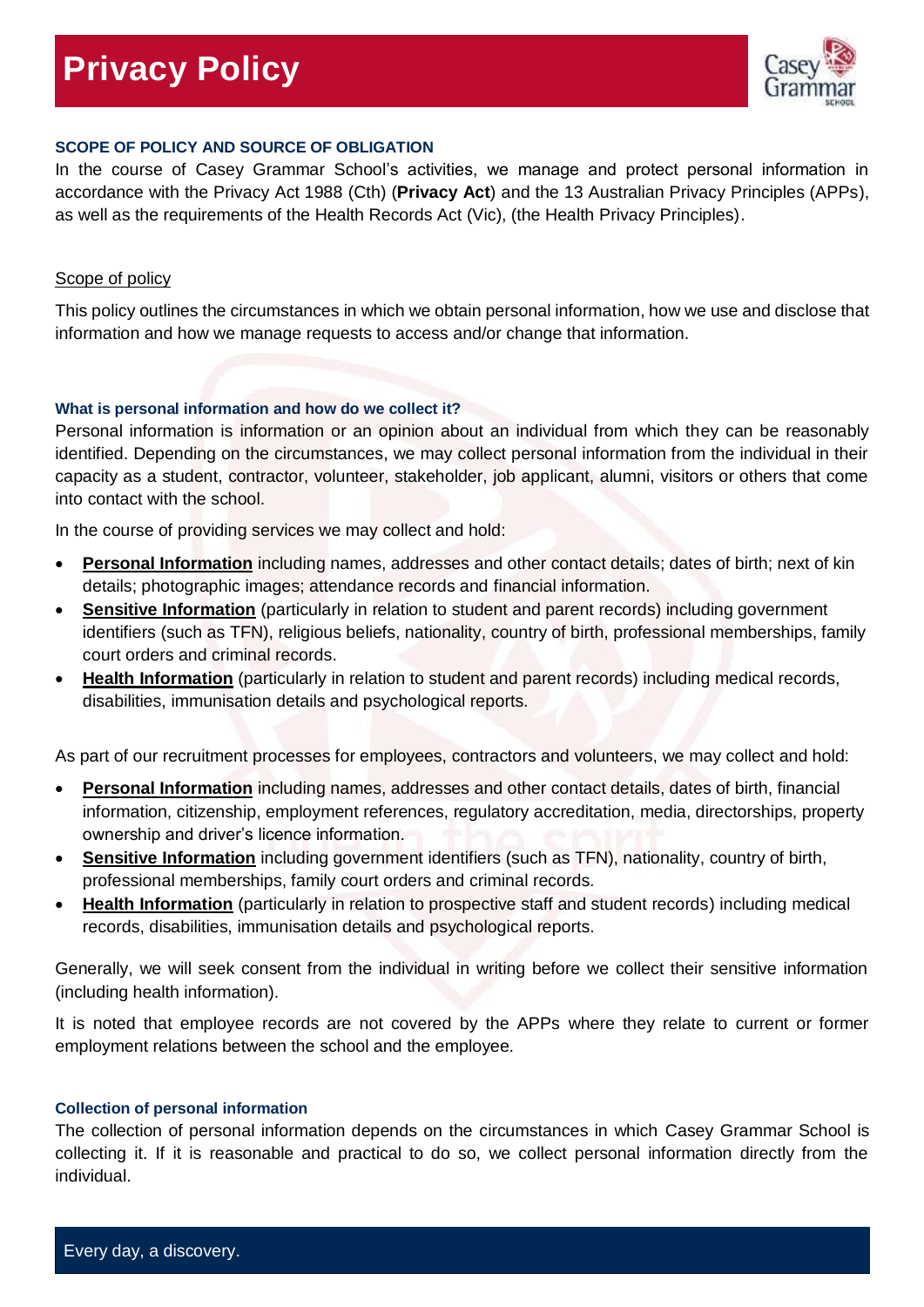# **Privacy Policy**



## **SCOPE OF POLICY AND SOURCE OF OBLIGATION**

In the course of Casey Grammar School's activities, we manage and protect personal information in accordance with the Privacy Act 1988 (Cth) (**Privacy Act**) and the 13 Australian Privacy Principles (APPs), as well as the requirements of the Health Records Act (Vic), (the Health Privacy Principles).

## Scope of policy

This policy outlines the circumstances in which we obtain personal information, how we use and disclose that information and how we manage requests to access and/or change that information.

## **What is personal information and how do we collect it?**

Personal information is information or an opinion about an individual from which they can be reasonably identified. Depending on the circumstances, we may collect personal information from the individual in their capacity as a student, contractor, volunteer, stakeholder, job applicant, alumni, visitors or others that come into contact with the school.

In the course of providing services we may collect and hold:

- **Personal Information** including names, addresses and other contact details; dates of birth; next of kin details; photographic images; attendance records and financial information.
- **Sensitive Information** (particularly in relation to student and parent records) including government identifiers (such as TFN), religious beliefs, nationality, country of birth, professional memberships, family court orders and criminal records.
- **Health Information** (particularly in relation to student and parent records) including medical records, disabilities, immunisation details and psychological reports.

As part of our recruitment processes for employees, contractors and volunteers, we may collect and hold:

- **Personal Information** including names, addresses and other contact details, dates of birth, financial information, citizenship, employment references, regulatory accreditation, media, directorships, property ownership and driver's licence information.
- **Sensitive Information** including government identifiers (such as TFN), nationality, country of birth, professional memberships, family court orders and criminal records.
- **Health Information** (particularly in relation to prospective staff and student records) including medical records, disabilities, immunisation details and psychological reports.

Generally, we will seek consent from the individual in writing before we collect their sensitive information (including health information).

It is noted that employee records are not covered by the APPs where they relate to current or former employment relations between the school and the employee.

#### **Collection of personal information**

The collection of personal information depends on the circumstances in which Casey Grammar School is collecting it. If it is reasonable and practical to do so, we collect personal information directly from the individual.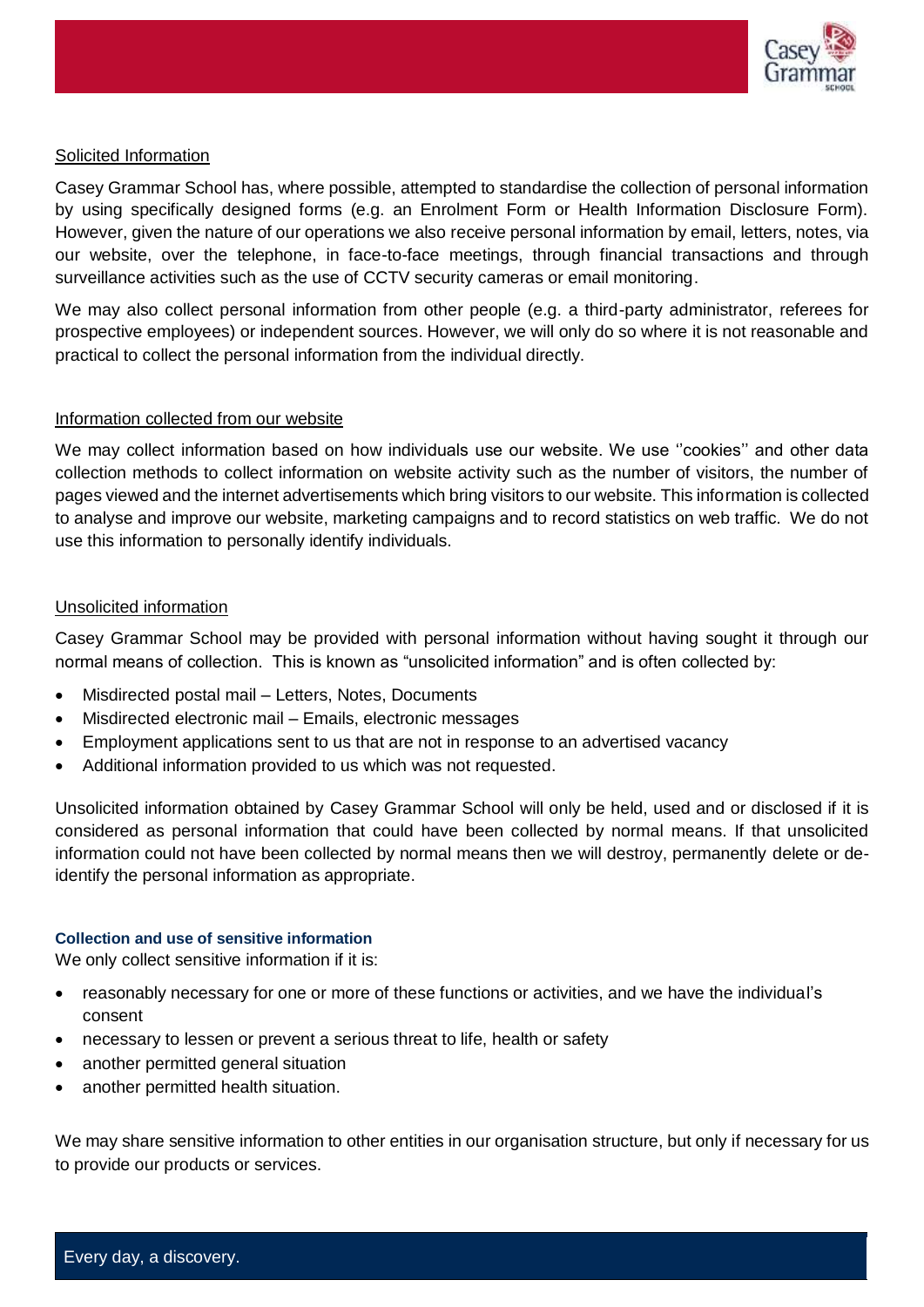

# Solicited Information

Casey Grammar School has, where possible, attempted to standardise the collection of personal information by using specifically designed forms (e.g. an Enrolment Form or Health Information Disclosure Form). However, given the nature of our operations we also receive personal information by email, letters, notes, via our website, over the telephone, in face-to-face meetings, through financial transactions and through surveillance activities such as the use of CCTV security cameras or email monitoring.

We may also collect personal information from other people (e.g. a third-party administrator, referees for prospective employees) or independent sources. However, we will only do so where it is not reasonable and practical to collect the personal information from the individual directly.

# Information collected from our website

We may collect information based on how individuals use our website. We use ''cookies'' and other data collection methods to collect information on website activity such as the number of visitors, the number of pages viewed and the internet advertisements which bring visitors to our website. This information is collected to analyse and improve our website, marketing campaigns and to record statistics on web traffic. We do not use this information to personally identify individuals.

# Unsolicited information

Casey Grammar School may be provided with personal information without having sought it through our normal means of collection. This is known as "unsolicited information" and is often collected by:

- Misdirected postal mail Letters, Notes, Documents
- Misdirected electronic mail Emails, electronic messages
- Employment applications sent to us that are not in response to an advertised vacancy
- Additional information provided to us which was not requested.

Unsolicited information obtained by Casey Grammar School will only be held, used and or disclosed if it is considered as personal information that could have been collected by normal means. If that unsolicited information could not have been collected by normal means then we will destroy, permanently delete or deidentify the personal information as appropriate.

# **Collection and use of sensitive information**

We only collect sensitive information if it is:

- reasonably necessary for one or more of these functions or activities, and we have the individual's consent
- necessary to lessen or prevent a serious threat to life, health or safety
- another permitted general situation
- another permitted health situation.

We may share sensitive information to other entities in our organisation structure, but only if necessary for us to provide our products or services.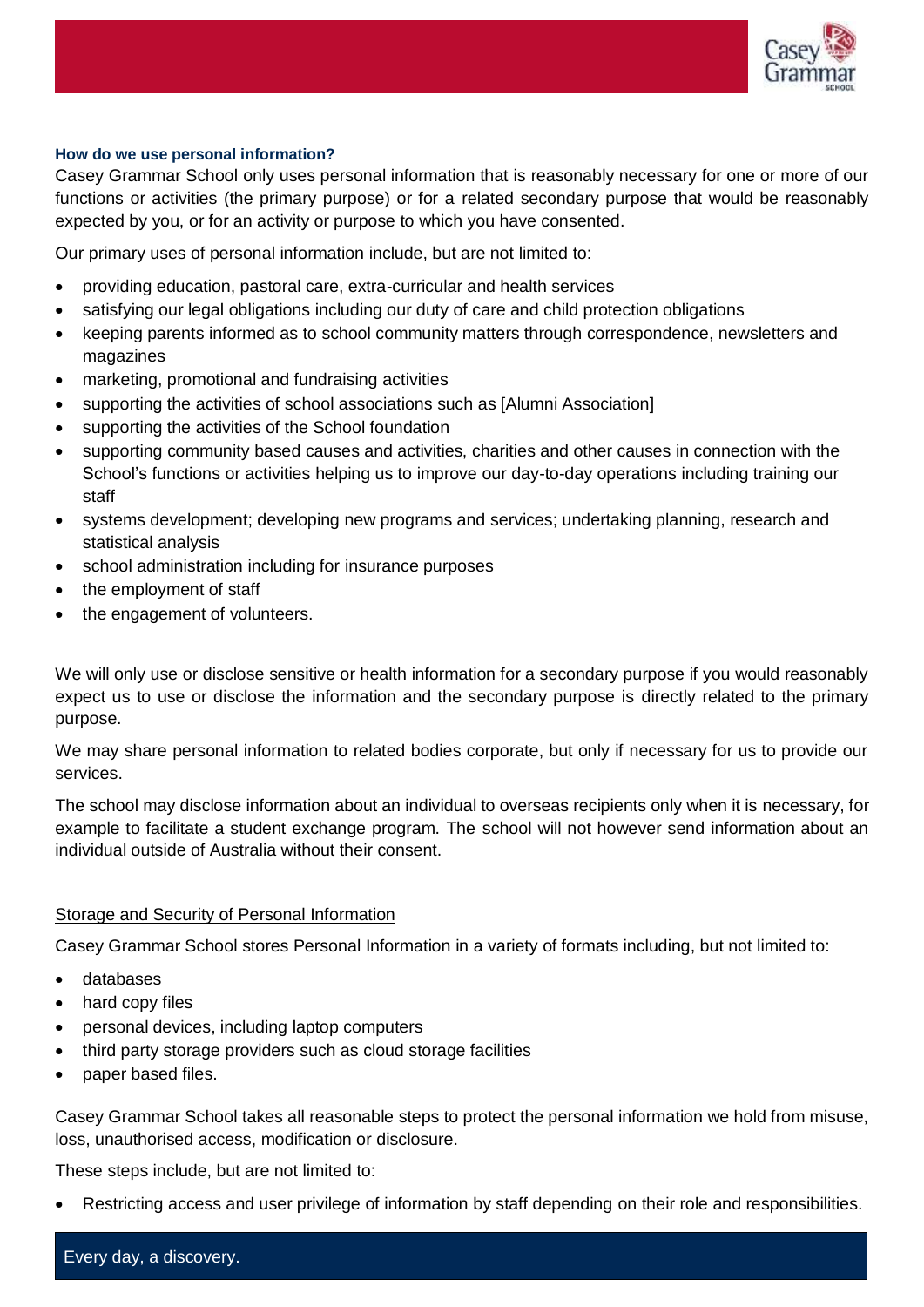

### **How do we use personal information?**

Casey Grammar School only uses personal information that is reasonably necessary for one or more of our functions or activities (the primary purpose) or for a related secondary purpose that would be reasonably expected by you, or for an activity or purpose to which you have consented.

Our primary uses of personal information include, but are not limited to:

- providing education, pastoral care, extra-curricular and health services
- satisfying our legal obligations including our duty of care and child protection obligations
- keeping parents informed as to school community matters through correspondence, newsletters and magazines
- marketing, promotional and fundraising activities
- supporting the activities of school associations such as [Alumni Association]
- supporting the activities of the School foundation
- supporting community based causes and activities, charities and other causes in connection with the School's functions or activities helping us to improve our day-to-day operations including training our staff
- systems development; developing new programs and services; undertaking planning, research and statistical analysis
- school administration including for insurance purposes
- the employment of staff
- the engagement of volunteers.

We will only use or disclose sensitive or health information for a secondary purpose if you would reasonably expect us to use or disclose the information and the secondary purpose is directly related to the primary purpose.

We may share personal information to related bodies corporate, but only if necessary for us to provide our services.

The school may disclose information about an individual to overseas recipients only when it is necessary, for example to facilitate a student exchange program. The school will not however send information about an individual outside of Australia without their consent.

# Storage and Security of Personal Information

Casey Grammar School stores Personal Information in a variety of formats including, but not limited to:

- databases
- hard copy files
- personal devices, including laptop computers
- third party storage providers such as cloud storage facilities
- paper based files.

Casey Grammar School takes all reasonable steps to protect the personal information we hold from misuse, loss, unauthorised access, modification or disclosure.

These steps include, but are not limited to:

Restricting access and user privilege of information by staff depending on their role and responsibilities.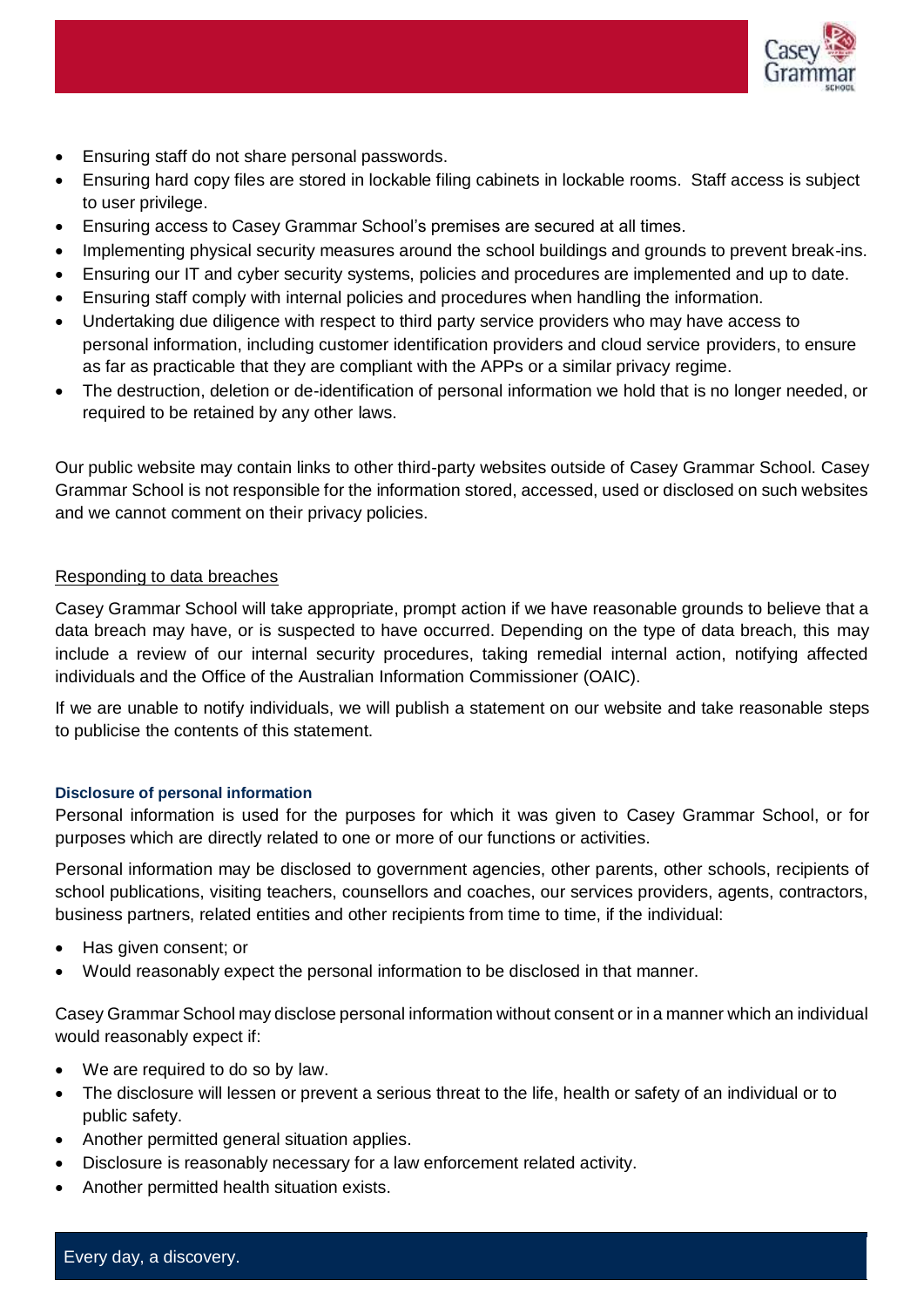

- Ensuring staff do not share personal passwords.
- Ensuring hard copy files are stored in lockable filing cabinets in lockable rooms. Staff access is subject to user privilege.
- Ensuring access to Casey Grammar School's premises are secured at all times.
- Implementing physical security measures around the school buildings and grounds to prevent break-ins.
- Ensuring our IT and cyber security systems, policies and procedures are implemented and up to date.
- Ensuring staff comply with internal policies and procedures when handling the information.
- Undertaking due diligence with respect to third party service providers who may have access to personal information, including customer identification providers and cloud service providers, to ensure as far as practicable that they are compliant with the APPs or a similar privacy regime.
- The destruction, deletion or de-identification of personal information we hold that is no longer needed, or required to be retained by any other laws.

Our public website may contain links to other third-party websites outside of Casey Grammar School. Casey Grammar School is not responsible for the information stored, accessed, used or disclosed on such websites and we cannot comment on their privacy policies.

# Responding to data breaches

Casey Grammar School will take appropriate, prompt action if we have reasonable grounds to believe that a data breach may have, or is suspected to have occurred. Depending on the type of data breach, this may include a review of our internal security procedures, taking remedial internal action, notifying affected individuals and the Office of the Australian Information Commissioner (OAIC).

If we are unable to notify individuals, we will publish a statement on our website and take reasonable steps to publicise the contents of this statement.

#### **Disclosure of personal information**

Personal information is used for the purposes for which it was given to Casey Grammar School, or for purposes which are directly related to one or more of our functions or activities.

Personal information may be disclosed to government agencies, other parents, other schools, recipients of school publications, visiting teachers, counsellors and coaches, our services providers, agents, contractors, business partners, related entities and other recipients from time to time, if the individual:

- Has given consent: or
- Would reasonably expect the personal information to be disclosed in that manner.

Casey Grammar School may disclose personal information without consent or in a manner which an individual would reasonably expect if:

- We are required to do so by law.
- The disclosure will lessen or prevent a serious threat to the life, health or safety of an individual or to public safety.
- Another permitted general situation applies.
- Disclosure is reasonably necessary for a law enforcement related activity.
- Another permitted health situation exists.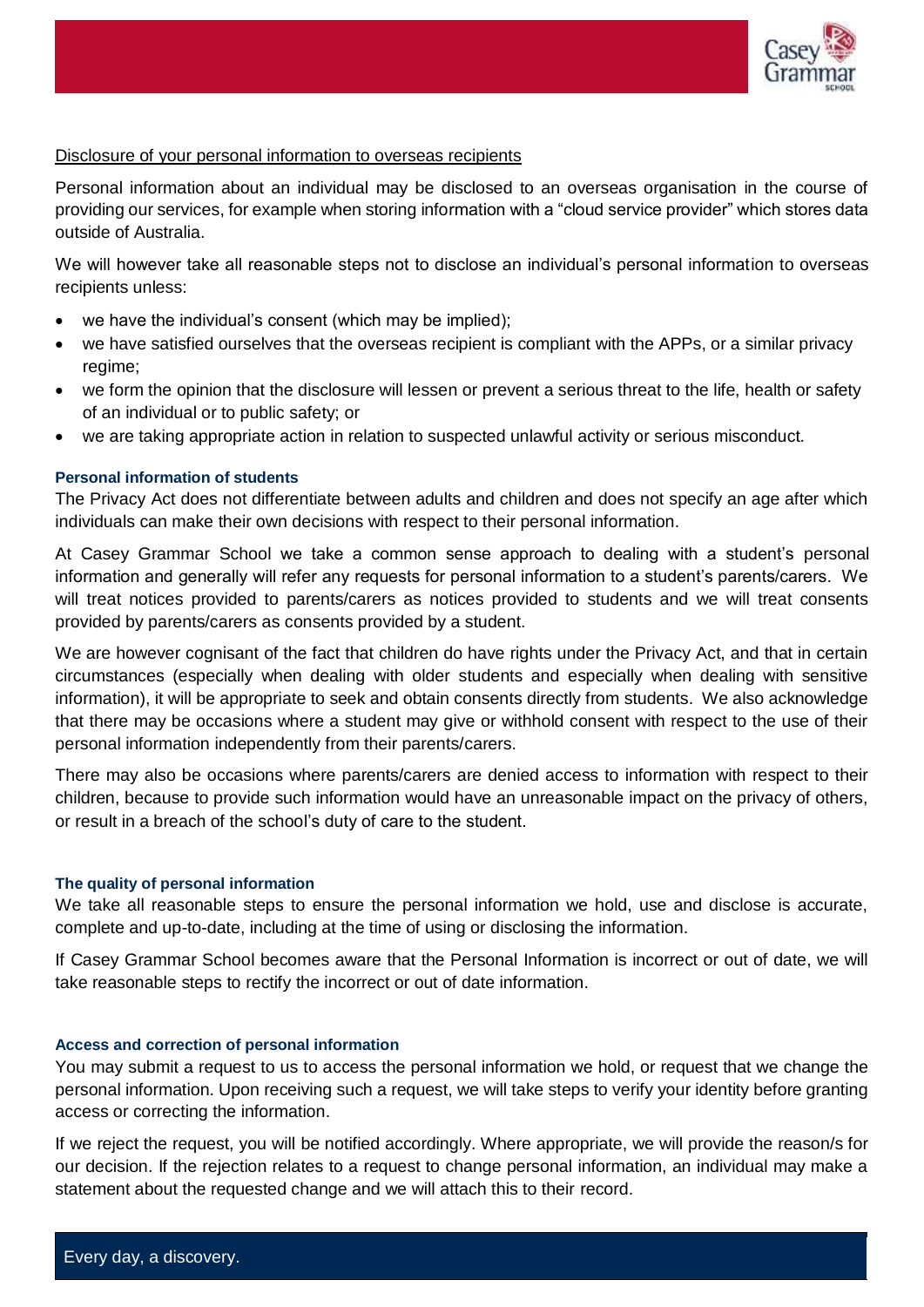

## Disclosure of your personal information to overseas recipients

Personal information about an individual may be disclosed to an overseas organisation in the course of providing our services, for example when storing information with a "cloud service provider" which stores data outside of Australia.

We will however take all reasonable steps not to disclose an individual's personal information to overseas recipients unless:

- we have the individual's consent (which may be implied);
- we have satisfied ourselves that the overseas recipient is compliant with the APPs, or a similar privacy regime;
- we form the opinion that the disclosure will lessen or prevent a serious threat to the life, health or safety of an individual or to public safety; or
- we are taking appropriate action in relation to suspected unlawful activity or serious misconduct.

## **Personal information of students**

The Privacy Act does not differentiate between adults and children and does not specify an age after which individuals can make their own decisions with respect to their personal information.

At Casey Grammar School we take a common sense approach to dealing with a student's personal information and generally will refer any requests for personal information to a student's parents/carers. We will treat notices provided to parents/carers as notices provided to students and we will treat consents provided by parents/carers as consents provided by a student.

We are however cognisant of the fact that children do have rights under the Privacy Act, and that in certain circumstances (especially when dealing with older students and especially when dealing with sensitive information), it will be appropriate to seek and obtain consents directly from students. We also acknowledge that there may be occasions where a student may give or withhold consent with respect to the use of their personal information independently from their parents/carers.

There may also be occasions where parents/carers are denied access to information with respect to their children, because to provide such information would have an unreasonable impact on the privacy of others, or result in a breach of the school's duty of care to the student.

#### **The quality of personal information**

We take all reasonable steps to ensure the personal information we hold, use and disclose is accurate, complete and up-to-date, including at the time of using or disclosing the information.

If Casey Grammar School becomes aware that the Personal Information is incorrect or out of date, we will take reasonable steps to rectify the incorrect or out of date information.

#### **Access and correction of personal information**

You may submit a request to us to access the personal information we hold, or request that we change the personal information. Upon receiving such a request, we will take steps to verify your identity before granting access or correcting the information.

If we reject the request, you will be notified accordingly. Where appropriate, we will provide the reason/s for our decision. If the rejection relates to a request to change personal information, an individual may make a statement about the requested change and we will attach this to their record.